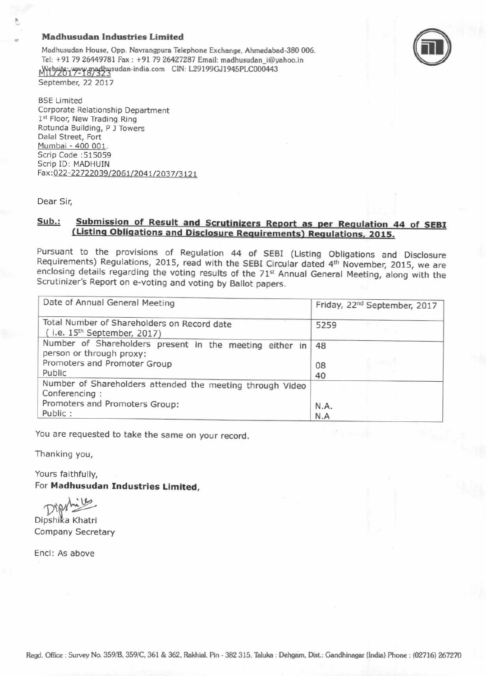### Madhusudan Industries Limited

Madhusudan House, Opp. Navrangpura Telephone Exchange, Ahmedabad-380 006. Tel: +91 79 26449781 Fax: +91 79 26427287 Email: madhusudan\_i@yahoo.in Website: www.madhusudan-india.com CIN: L29199GJ1945PLC000443 September, 22 2017



**BSE Limited** Corporate Relationship Department 1st Floor, New Trading Ring Rotunda Building, P J Towers Dalal Street, Fort Mumbai - 400 001. Scrip Code :515059 Scrip ID: MADHUIN Fax:022-22722039/2061/2041/2037/3121

Dear Sir,

# Sub.: Submission of Result and Scrutinizers Report as per Regulation 44 of SEBI<br>(Listing Obligations and Disclosure Requirements) Regulations, 2015.

Pursuant to the provisions of Regulation 44 of SEBI (Listing Obligations and Disclosure Requirements) Regulations, 2015, read with the SEBI Circular dated  $4<sup>th</sup>$  November, 2015, we are enclosing details regarding the

| Date of Annual General Meeting                                                                                                | Friday, 22 <sup>nd</sup> September, 2017 |
|-------------------------------------------------------------------------------------------------------------------------------|------------------------------------------|
| Total Number of Shareholders on Record date<br>(i.e. $15th$ September, 2017)                                                  | 5259                                     |
| Number of Shareholders present in the meeting either in<br>person or through proxy:<br>Promoters and Promoter Group<br>Public | 48<br>08<br>40                           |
| Number of Shareholders attended the meeting through Video<br>Conferencing:<br>Promoters and Promoters Group:<br>Public:       | N.A.<br>N.A                              |

You are requested to take the same on your record.

Thanking you,

Yours faithfully, For Madhusudan Industries Limited,

Dipylite<br>Dipshika Khatri

Company Secretary

Encl: As above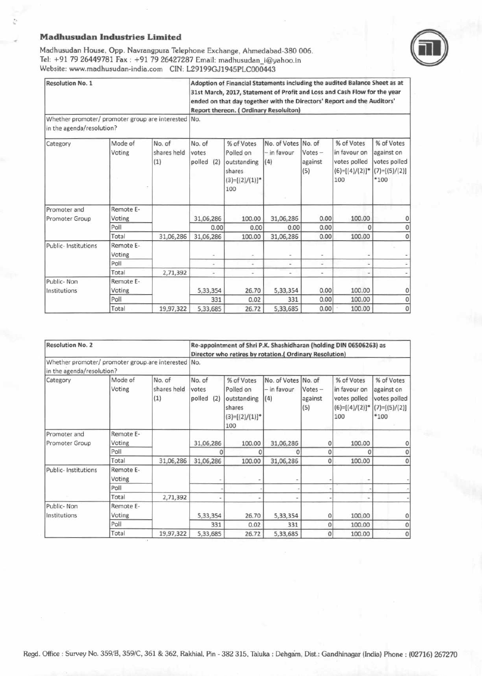### **Madhusudan Industries Limited**

Ù

Madhusudan House, Opp. Navrangpura Telephone Exchange, Ahmedabad-380 006. Tel: +91 79 26449781 Fax: +91 79 26427287 Email: madhusudan\_i@yahoo.in Website: www.madhusudan-india.com CIN: L29199GJ1945PLC000443



| <b>Resolution No. 2</b>                             |                     | Re-appointment of Shri P.K. Shashidharan (holding DIN 06506263) as<br>Director who retires by rotation.( Ordinary Resolution) |                                  |                                                                              |                                    |                                       |                                                                                   |                                                                       |
|-----------------------------------------------------|---------------------|-------------------------------------------------------------------------------------------------------------------------------|----------------------------------|------------------------------------------------------------------------------|------------------------------------|---------------------------------------|-----------------------------------------------------------------------------------|-----------------------------------------------------------------------|
| Whether promoter/ promoter group are interested No. |                     |                                                                                                                               |                                  |                                                                              |                                    |                                       |                                                                                   |                                                                       |
| in the agenda/resolution?                           |                     |                                                                                                                               |                                  |                                                                              |                                    |                                       |                                                                                   |                                                                       |
| Category                                            | Mode of<br>Voting   | No. of<br>shares held<br>(1)                                                                                                  | No. of<br>votes<br>polled<br>(2) | % of Votes<br>Polled on<br>outstanding<br>shares<br>$(3)=[(2)/(1)]^*$<br>100 | No. of Votes<br>- in favour<br>(4) | No. of<br>$Votes -$<br>against<br>(5) | % of Votes<br>in favour on<br>votes polled<br>$(6)=[(4)/(2)]$ <sup>*</sup><br>100 | % of Votes<br>against on<br>votes polled<br>$(7)=[(5)/(2)]$<br>$*100$ |
| Promoter and                                        | Remote E-           |                                                                                                                               |                                  |                                                                              |                                    |                                       |                                                                                   |                                                                       |
| Promoter Group                                      | Voting              |                                                                                                                               | 31,06,286                        | 100.00                                                                       | 31,06,286                          | 0                                     | 100.00                                                                            |                                                                       |
|                                                     | Poll                |                                                                                                                               |                                  |                                                                              | n                                  | 0                                     | 0                                                                                 |                                                                       |
|                                                     | Total               | 31,06,286                                                                                                                     | 31,06,286                        | 100.00                                                                       | 31,06,286                          | 0                                     | 100.00                                                                            |                                                                       |
| Public- Institutions                                | Remote E-<br>Voting |                                                                                                                               |                                  |                                                                              |                                    |                                       |                                                                                   |                                                                       |
|                                                     | Poll                |                                                                                                                               |                                  |                                                                              |                                    |                                       |                                                                                   |                                                                       |
|                                                     | Total               | 2,71,392                                                                                                                      |                                  |                                                                              |                                    |                                       |                                                                                   |                                                                       |
| Public-Non                                          | Remote E-           |                                                                                                                               |                                  |                                                                              |                                    |                                       |                                                                                   |                                                                       |
| Institutions                                        | Voting              |                                                                                                                               | 5,33,354                         | 26.70                                                                        | 5,33,354                           | 0                                     | 100.00                                                                            |                                                                       |
|                                                     | Poll                |                                                                                                                               | 331                              | 0.02                                                                         | 331                                | 0                                     | 100.00                                                                            |                                                                       |
|                                                     | Total               | 19,97,322                                                                                                                     | 5,33,685                         | 26.72                                                                        | 5,33,685                           | $\Omega$                              | 100.00                                                                            | $\mathbf 0$                                                           |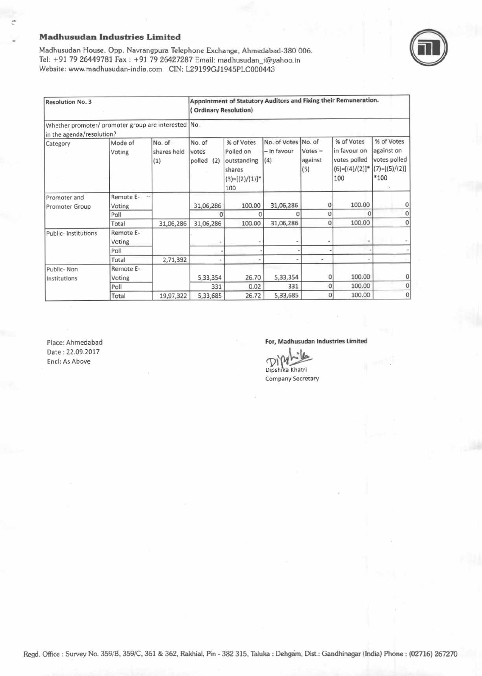### **Madhusudan Industries Limited**



Madhusudan House, Opp. Navrangpura Telephone Exchange, Ahmedabad-380 006. Tel: +91 79 26449781 Fax: +91 79 26427287 Email: madhusudan\_i@yahoo.in Website: www.madhusudan-india.com CIN: L29199GJ1945PLC000443

| <b>Resolution No. 3</b>                                                          |                     | Appointment of Statutory Auditors and Fixing their Remuneration.<br>(Ordinary Resolution) |                                  |                                                                              |                                           |                             |                                                                        |                                                                     |
|----------------------------------------------------------------------------------|---------------------|-------------------------------------------------------------------------------------------|----------------------------------|------------------------------------------------------------------------------|-------------------------------------------|-----------------------------|------------------------------------------------------------------------|---------------------------------------------------------------------|
| Whether promoter/ promoter group are interested No.<br>in the agenda/resolution? |                     |                                                                                           |                                  |                                                                              |                                           |                             |                                                                        |                                                                     |
| Category                                                                         | Mode of<br>Voting   | No. of<br>shares held<br>(1)                                                              | No. of<br>votes<br>polled<br>(2) | % of Votes<br>Polled on<br>outstanding<br>shares<br>$(3)=[(2)/(1)]$ *<br>100 | No. of Votes No. of<br>- in favour<br>(4) | $Votes -$<br>against<br>(5) | % of Votes<br>in favour on<br>votes polled<br>$(6)=[(4)/(2)]^*$<br>100 | % of Votes<br>against on<br>votes polled<br>$(7)=[(5)/(2)]$<br>*100 |
| Promoter and                                                                     | Remote E-           | Hw                                                                                        |                                  |                                                                              |                                           |                             |                                                                        |                                                                     |
| Promoter Group                                                                   | Voting              |                                                                                           | 31,06,286                        | 100.00                                                                       | 31,06,286                                 | 0                           | 100.00                                                                 | 0                                                                   |
|                                                                                  | Poll                |                                                                                           | O                                | ۵                                                                            |                                           | 0                           | $\Omega$                                                               | 0                                                                   |
|                                                                                  | Total               | 31,06,286                                                                                 | 31,06,286                        | 100.00                                                                       | 31,06,286                                 | 0                           | 100.00                                                                 | 0                                                                   |
| <b>Public-Institutions</b>                                                       | Remote E-<br>Voting |                                                                                           |                                  |                                                                              |                                           |                             |                                                                        |                                                                     |
|                                                                                  | Poll                |                                                                                           |                                  |                                                                              |                                           |                             |                                                                        |                                                                     |
|                                                                                  | Total               | 2,71,392                                                                                  |                                  |                                                                              |                                           | $\frac{1}{2}$               |                                                                        |                                                                     |
| Public-Non                                                                       | Remote E-           |                                                                                           |                                  |                                                                              |                                           |                             |                                                                        |                                                                     |
| Institutions                                                                     | Voting              |                                                                                           | 5,33,354                         | 26.70                                                                        | 5,33,354                                  | $\Omega$                    | 100.00                                                                 | 0                                                                   |
|                                                                                  | Poll                |                                                                                           | 331                              | 0.02                                                                         | 331                                       | $\Omega$                    | 100.00                                                                 | $\overline{0}$                                                      |
|                                                                                  | Total               | 19,97,322                                                                                 | 5,33,685                         | 26.72                                                                        | 5,33,685                                  | $\mathbf{0}$                | 100.00                                                                 | $\mathbf 0$                                                         |

Place: Ahmedabad Date: 22.09.2017 Encl: As Above

For, Madhusudan Industries Limited

Dipshika Khatri

Company Secretary

Regd. Office : Survey No. 359/B, 359/C, 361 & 362, Rakhial, Pin - 382 315, Taluka : Dehgam, Dist.: Gandhinagar (India) Phone : (02716) 267270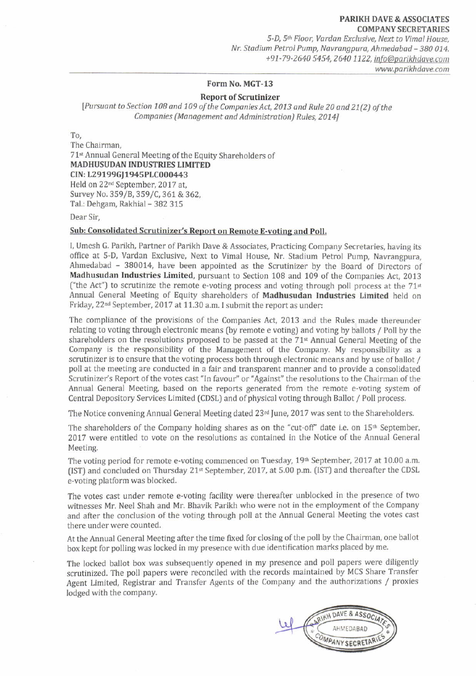5-D, 5<sup>th</sup> Floor, Vardan Exclusive, Next to Vimal House, Nr Stadium Petrol Pump, Navrangpurd, Ahmedabad - 380 014. +91-79-2640 5454, 2640 1122, info@parikhdave.com www.parikhdave.com

### Form No. MGT-13

### Report of Scrutinizer

[Pursuant to Section 108 and 109 of the Companies Act, 2013 and Rule 20 and 21(2) of the Companies (Management and Administration) Rules, 2014]

To,

The Chairman, 71<sup>st</sup> Annual General Meeting of the Equity Shareholders of MADHUSUDAN INDUSTRIES LIMITED CIN: L29199GI1945PLC000443 Held on 22"d September,2017 at, Survey No. 359/B, 359/C, 361 & 362, Tal.: Dehgam, Rakhial - 382 315

Dear Sir,

### Sub: Consolidated Scrutinizer's Report on Remote E-voting and Poll.

I, Umesh G. Parikh, Partner of Parikh Dave & Associates, Practicing Company Secretaries, having its office at 5-D, Vardan Exclusive, Next to Vimal House, Nr. Stadium Petrol Pump, Navrangpura, Ahmedabad - 380014, have been appointed as the Scrutinizer by the Board of Directors of Madhusudan Industries Limited, pursuant to Section 108 and 109 of the Companies Act, 2013 ("the Act") to scrutinize the remote e-voting process and voting through poll process at the  $71<sup>st</sup>$ Annual General Meeting of Equity shareholders of Madhusudan Industries Limited held on Friday, 22<sup>nd</sup> September, 2017 at 11.30 a.m. I submit the report as under:

The compliance of the provisions of the Companies Act, 2013 and the Rules made thereunder relating to voting through electronic means (by remote e voting) and voting by ballots / Poll by the shareholders on the resolutions proposed to be passed at the  $71<sup>st</sup>$  Annual General Meeting of the Company is the responsibility of the Management of the Company. My responsibility as <sup>a</sup> scrutinizer is to ensure that the voting process both through electronic means and by use of ballot / poll at the meeting are conducted in a fair and transparent manner and to provide a consolidated Scrutinizer's Report of the votes cast "In favour" or "Against" the resolutions to the Chairman of the Annual General Meeting, based on the reports generated from the remote e-voting system of Central Depository Services Limited (CDSL) and of physical voting through Ballot / Poll process.

The Notice convening Annual General Meeting dated  $23<sup>rd</sup>$  June, 2017 was sent to the Shareholders.

The shareholders of the Company holding shares as on the "cut-off" date i.e. on  $15<sup>th</sup>$  September, 2017 were entitled to vote on the resolutions as contained in the Notice of the Annual General Meeting.

The voting period for remote e-voting commenced on Tuesday,  $19<sup>th</sup>$  September, 2017 at 10.00 a.m.  $(IST)$  and concluded on Thursday 21<sup>st</sup> September, 2017, at 5.00 p.m.  $(IST)$  and thereafter the CDSL e-voting platform was blocked.

The votes cast under remote e-voting facility were thereafter unblocked in the presence of two witnesses Mr. Neel Shah and Mr. Bhavik Parikh who were not in the employment of the Company and after the conclusion of the voting through poll at the Annual Ceneral Meeting the votes cast there under were counted,

At the Annual General Meeting after the time fixed for closing ofthe poll by the chairman, one ballot box kept for polling was locked in my presence with due identification marks placed by me.

The locked ballot box was subsequently opened in my presence and poll papers were diligently scrutinized. The poll papers were reconciled with the records maintained by MCS Share Transfer Agent Limited, Registrar and Transfer Agents of the Company and the authorizations / proxies lodged with the company.

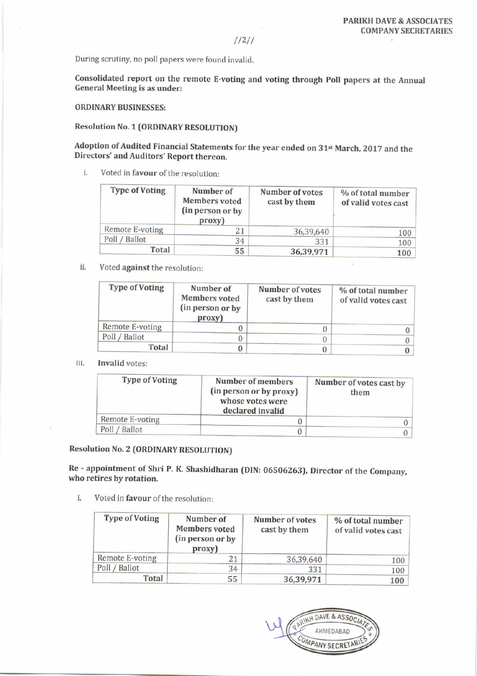//2//

During scrutiny, no poll papers were found invalid.

Consolidated report on the remote E-voting and voting through poll papers at the Annual General Meeting is as under:

ORDINARY BUSINESSES:

### Resolution No. 1 (ORDINARY RESOLUTION)

Adoption of Audited Financial Statements for the year ended on 31<sup>st</sup> March, 2017 and the Directors' and Auditors' Report thereon.

i. Voted in favour of the resolution:

| <b>Type of Voting</b> | Number of<br><b>Members</b> voted<br>(in person or by<br>proxy) | Number of votes<br>cast by them | % of total number<br>of valid votes cast |
|-----------------------|-----------------------------------------------------------------|---------------------------------|------------------------------------------|
| Remote E-voting       | 21                                                              | 36,39,640                       | 100                                      |
| Poll / Ballot         | 34                                                              | 331                             | 100                                      |
| Total                 | 55                                                              | 36,39,971                       | 100                                      |

ii. Voted against the resolution:

| <b>Type of Voting</b> | Number of<br>Members voted<br>(in person or by<br>proxy) | Number of votes<br>cast by them | % of total number<br>of valid votes cast |
|-----------------------|----------------------------------------------------------|---------------------------------|------------------------------------------|
| Remote E-voting       |                                                          |                                 |                                          |
| Poll / Ballot         |                                                          |                                 |                                          |
| Total                 |                                                          |                                 |                                          |

#### iii. Invalid votes:

| <b>Type of Voting</b> | Number of members<br>(in person or by proxy)<br>whose votes were<br>declared invalid | Number of votes cast by<br>them |
|-----------------------|--------------------------------------------------------------------------------------|---------------------------------|
| Remote E-voting       |                                                                                      |                                 |
| Poll / Ballot         |                                                                                      |                                 |

### Resolution No. 2 (ORDINARY RESOLUTION)

Re - appointment of Shri P. K. Shashidharan (DIN: 06506263), Director of the Company, who retires by rotation.

i. Voted in favour of the resolution:

| <b>Type of Voting</b> | Number of<br><b>Members</b> voted<br>(in person or by<br>proxy) | Number of votes<br>cast by them | % of total number<br>of valid votes cast |
|-----------------------|-----------------------------------------------------------------|---------------------------------|------------------------------------------|
| Remote E-voting       |                                                                 | 36,39,640                       | 100                                      |
| Poll / Ballot         | 34                                                              | 331                             | 100                                      |
| Total                 | 55                                                              | 36,39,971                       | 100                                      |

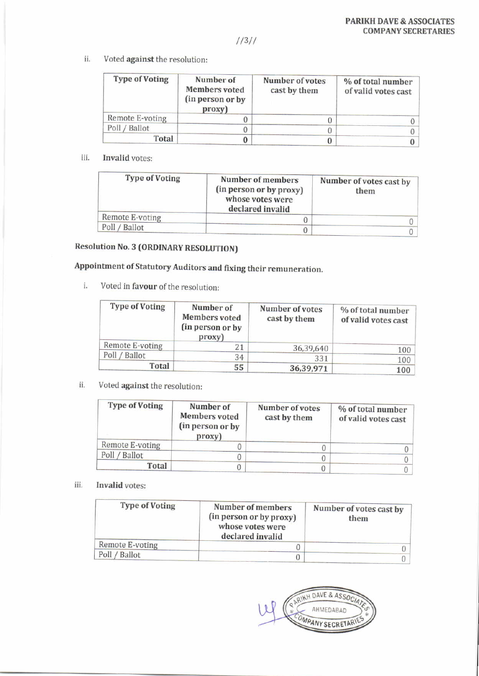$1/3/7$ 

ii. Voted against the resolution:

| <b>Type of Voting</b> | Number of<br><b>Members</b> voted<br>(in person or by<br>proxy) | Number of votes<br>cast by them | % of total number<br>of valid votes cast |
|-----------------------|-----------------------------------------------------------------|---------------------------------|------------------------------------------|
| Remote E-voting       |                                                                 |                                 |                                          |
| Ballot<br>Poll /      |                                                                 |                                 |                                          |
| <b>Total</b>          |                                                                 |                                 |                                          |

### iii. Invalid votes:

| Number of members<br>(in person or by proxy)<br>whose votes were<br>declared invalid | Number of votes cast by<br>them |
|--------------------------------------------------------------------------------------|---------------------------------|
|                                                                                      |                                 |
|                                                                                      |                                 |
|                                                                                      |                                 |

## Resolution No. 3 (ORDINARY RESOLUTION)

## Appointment of Statutory Auditors and fixing their remuneration.

i. Voted in favour of the resolution:

| <b>Type of Voting</b> | Number of<br><b>Members</b> voted<br>(in person or by<br>proxy) | Number of votes<br>cast by them | % of total number<br>of valid votes cast |
|-----------------------|-----------------------------------------------------------------|---------------------------------|------------------------------------------|
| Remote E-voting       | 21                                                              | 36,39,640                       | 100                                      |
| Poll / Ballot         | 34                                                              | 331                             | 100                                      |
| Total                 | 55                                                              | 36,39,971                       | 100                                      |

ii. Voted against the resolution:

| <b>Type of Voting</b> | Number of<br>Members voted<br>(in person or by<br>proxy) | Number of votes<br>cast by them | % of total number<br>of valid votes cast |
|-----------------------|----------------------------------------------------------|---------------------------------|------------------------------------------|
| Remote E-voting       |                                                          |                                 |                                          |
| Poll / Ballot         |                                                          |                                 |                                          |
| Total                 | J                                                        |                                 |                                          |

#### ||], Invalid votes:

| Number of members<br>(in person or by proxy)<br>whose votes were<br>declared invalid | Number of votes cast by<br>them |
|--------------------------------------------------------------------------------------|---------------------------------|
|                                                                                      |                                 |
|                                                                                      |                                 |
|                                                                                      |                                 |